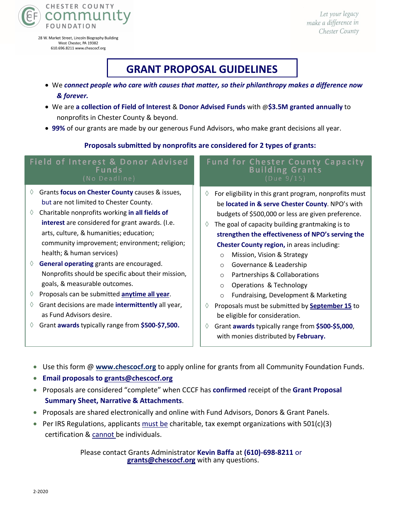

28 W. Market Street, Lincoln Biography Building West Chester, PA 19382 610.696.8211 www.chescocf.org

Let your legacy make a difference in Chester County

# **GRANT PROPOSAL GUIDELINES**

- We *connect people who care with causes that matter, so their philanthropy makes a difference now & forever.*
- We are **a collection of Field of Interest** & **Donor Advised Funds** with @**\$3.5M granted annually** to nonprofits in Chester County & beyond.
- **99%** of our grants are made by our generous Fund Advisors, who make grant decisions all year.

### **Proposals submitted by nonprofits are considered for 2 types of grants:**

#### **Fund for Chester County Capacity Field of Interest & Donor Advised** Funds **Building Grants** à Grants **focus on Chester County** causes & issues,  $\Diamond$  For eligibility in this grant program, nonprofits must but are not limited to Chester County. be **located in & serve Chester County**. NPO's with à Charitable nonprofits working **in all fields of**  budgets of \$500,000 or less are given preference. **interest** are considered for grant awards. (I.e.  $\Diamond$  The goal of capacity building grantmaking is to arts, culture, & humanities; education; **strengthen the effectiveness of NPO's serving the**  community improvement; environment; religion; **Chester County region,** in areas including: health; & human services) o Mission, Vision & Strategy à **General operating** grants are encouraged. o Governance & Leadership Nonprofits should be specific about their mission, o Partnerships & Collaborations goals, & measurable outcomes. o Operations & Technology à Proposals can be submitted **anytime all year**. o Fundraising, Development & Marketing à Grant decisions are made **intermittently** all year, à Proposals must be submitted by **September 15** to as Fund Advisors desire. be eligible for consideration. à Grant **awards** typically range from **\$500-\$7,500.** à Grant **awards** typically range from **\$500-\$5,000**,

• Use this form @ **www.chescocf.org** to apply online for grants from all Community Foundation Funds.

with monies distributed by **February.**

- **Email proposals to grants@chescocf.org**
- Proposals are considered "complete" when CCCF has **confirmed** receipt of the **Grant Proposal Summary Sheet, Narrative & Attachments**.
- Proposals are shared electronically and online with Fund Advisors, Donors & Grant Panels.
- Per IRS Regulations, applicants must be charitable, tax exempt organizations with  $501(c)(3)$ certification & cannot be individuals.

Please contact Grants Administrator **Kevin Baffa** at **(610)-698-8211** or **grants@chescocf.org** with any questions.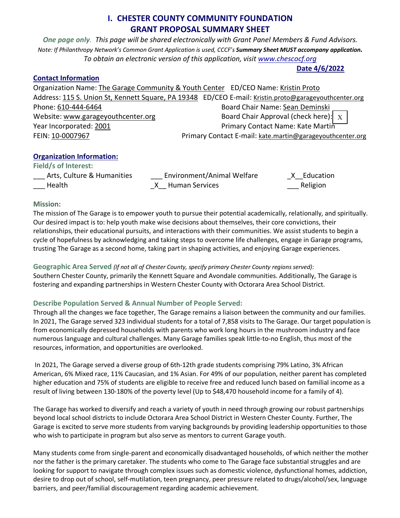### **I. CHESTER COUNTY COMMUNITY FOUNDATION GRANT PROPOSAL SUMMARY SHEET**

*One page only. This page will be shared electronically with Grant Panel Members & Fund Advisors. Note: If Philanthropy Network's Common Grant Application is used, CCCF's Summary Sheet MUST accompany application. To obtain an electronic version of this application, visit www.chescocf.org*

**Date 4/6/2022**

#### **Contact Information**

Organization Name: The Garage Community & Youth Center ED/CEO Name: Kristin Proto Address: 115 S. Union St, Kennett Square, PA 19348 ED/CEO E-mail: Kristin.proto@garageyouthcenter.org Phone: 610-444-6464 Board Chair Name: Sean Deminski Website: www.garageyouthcenter.org Year Incorporated: 2001 **Primary Contact Name: Kate Martin** FEIN: 10-0007967 Primary Contact E-mail: kate.martin@garageyouthcenter.org Board Chair Approval (check here):  $\vert X \vert$ 

### **Organization Information:**

**Field/s of Interest:** 

| <b>FIBIO/S OT INTEREST:</b> |                            |           |
|-----------------------------|----------------------------|-----------|
| Arts, Culture & Humanities  | Environment/Animal Welfare | Education |
| Health                      | X Human Services           | Religion  |

#### **Mission:**

The mission of The Garage is to empower youth to pursue their potential academically, relationally, and spiritually. Our desired impact is to: help youth make wise decisions about themselves, their core convictions, their relationships, their educational pursuits, and interactions with their communities. We assist students to begin a cycle of hopefulness by acknowledging and taking steps to overcome life challenges, engage in Garage programs, trusting The Garage as a second home, taking part in shaping activities, and enjoying Garage experiences.

**Geographic Area Served** *(If not all of Chester County, specify primary Chester County regions served):* Southern Chester County, primarily the Kennett Square and Avondale communities. Additionally, The Garage is fostering and expanding partnerships in Western Chester County with Octorara Area School District.

### **Describe Population Served & Annual Number of People Served:**

Through all the changes we face together, The Garage remains a liaison between the community and our families. In 2021, The Garage served 323 individual students for a total of 7,858 visits to The Garage. Our target population is from economically depressed households with parents who work long hours in the mushroom industry and face numerous language and cultural challenges. Many Garage families speak little-to-no English, thus most of the resources, information, and opportunities are overlooked.

In 2021, The Garage served a diverse group of 6th-12th grade students comprising 79% Latino, 3% African American, 6% Mixed race, 11% Caucasian, and 1% Asian. For 49% of our population, neither parent has completed higher education and 75% of students are eligible to receive free and reduced lunch based on familial income as a result of living between 130-180% of the poverty level (Up to \$48,470 household income for a family of 4).

The Garage has worked to diversify and reach a variety of youth in need through growing our robust partnerships beyond local school districts to include Octorara Area School District in Western Chester County. Further, The Garage is excited to serve more students from varying backgrounds by providing leadership opportunities to those who wish to participate in program but also serve as mentors to current Garage youth.

Many students come from single-parent and economically disadvantaged households, of which neither the mother nor the father is the primary caretaker. The students who come to The Garage face substantial struggles and are looking for support to navigate through complex issues such as domestic violence, dysfunctional homes, addiction, desire to drop out of school, self-mutilation, teen pregnancy, peer pressure related to drugs/alcohol/sex, language barriers, and peer/familial discouragement regarding academic achievement.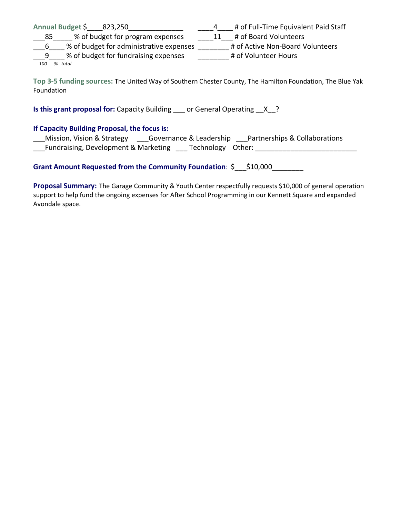|          | Annual Budget \$<br>823,250             | # of Full-Time Equivalent Paid Staff |
|----------|-----------------------------------------|--------------------------------------|
| __85     | % of budget for program expenses        | # of Board Volunteers                |
| <b>b</b> | % of budget for administrative expenses | # of Active Non-Board Volunteers     |
| -9       | % of budget for fundraising expenses    | # of Volunteer Hours                 |
| 100      | total                                   |                                      |

**Top 3-5 funding sources:** The United Way of Southern Chester County, The Hamilton Foundation, The Blue Yak Foundation

**Is this grant proposal for:** Capacity Building \_\_\_ or General Operating \_\_X\_?

#### **If Capacity Building Proposal, the focus is:**

| Mission, Vision & Strategy           | Governance & Leadership | Partnerships & Collaborations |
|--------------------------------------|-------------------------|-------------------------------|
| Fundraising, Development & Marketing | Technology Other:       |                               |

**Grant Amount Requested from the Community Foundation**: \$\_\_\_\$10,000\_\_\_\_\_\_\_\_

**Proposal Summary:** The Garage Community & Youth Center respectfully requests \$10,000 of general operation support to help fund the ongoing expenses for After School Programming in our Kennett Square and expanded Avondale space.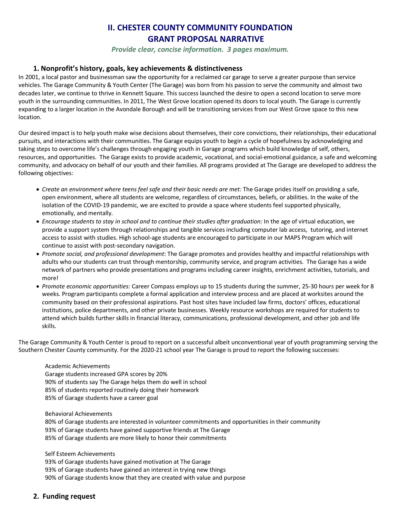## **II. CHESTER COUNTY COMMUNITY FOUNDATION GRANT PROPOSAL NARRATIVE**

*Provide clear, concise information. 3 pages maximum.* 

#### **1. Nonprofit's history, goals, key achievements & distinctiveness**

In 2001, a local pastor and businessman saw the opportunity for a reclaimed car garage to serve a greater purpose than service vehicles. The Garage Community & Youth Center (The Garage) was born from his passion to serve the community and almost two decades later, we continue to thrive in Kennett Square. This success launched the desire to open a second location to serve more youth in the surrounding communities. In 2011, The West Grove location opened its doors to local youth. The Garage is currently expanding to a larger location in the Avondale Borough and will be transitioning services from our West Grove space to this new location.

Our desired impact is to help youth make wise decisions about themselves, their core convictions, their relationships, their educational pursuits, and interactions with their communities. The Garage equips youth to begin a cycle of hopefulness by acknowledging and taking steps to overcome life's challenges through engaging youth in Garage programs which build knowledge of self, others, resources, and opportunities. The Garage exists to provide academic, vocational, and social-emotional guidance, a safe and welcoming community, and advocacy on behalf of our youth and their families. All programs provided at The Garage are developed to address the following objectives:

- *Create an environment where teens feel safe and their basic needs are met:* The Garage prides itself on providing a safe, open environment, where all students are welcome, regardless of circumstances, beliefs, or abilities. In the wake of the isolation of the COVID-19 pandemic, we are excited to provide a space where students feel supported physically, emotionally, and mentally.
- *Encourage students to stay in school and to continue their studies after graduation:* In the age of virtual education, we provide a support system through relationships and tangible services including computer lab access, tutoring, and internet access to assist with studies. High school-age students are encouraged to participate in our MAPS Program which will continue to assist with post-secondary navigation.
- *Promote social, and professional development*: The Garage promotes and provides healthy and impactful relationships with adults who our students can trust through mentorship, community service, and program activities. The Garage has a wide network of partners who provide presentations and programs including career insights, enrichment activities, tutorials, and more!
- *Promote economic opportunities:* Career Compass employs up to 15 students during the summer, 25-30 hours per week for 8 weeks. Program participants complete a formal application and interview process and are placed at worksites around the community based on their professional aspirations. Past host sites have included law firms, doctors' offices, educational institutions, police departments, and other private businesses. Weekly resource workshops are required for students to attend which builds further skills in financial literacy, communications, professional development, and other job and life skills.

The Garage Community & Youth Center is proud to report on a successful albeit unconventional year of youth programming serving the Southern Chester County community. For the 2020-21 school year The Garage is proud to report the following successes:

#### Academic Achievements Garage students increased GPA scores by 20% 90% of students say The Garage helps them do well in school 85% of students reported routinely doing their homework

85% of Garage students have a career goal

Behavioral Achievements

80% of Garage students are interested in volunteer commitments and opportunities in their community 93% of Garage students have gained supportive friends at The Garage 85% of Garage students are more likely to honor their commitments

Self Esteem Achievements

93% of Garage students have gained motivation at The Garage 93% of Garage students have gained an interest in trying new things 90% of Garage students know that they are created with value and purpose

#### **2. Funding request**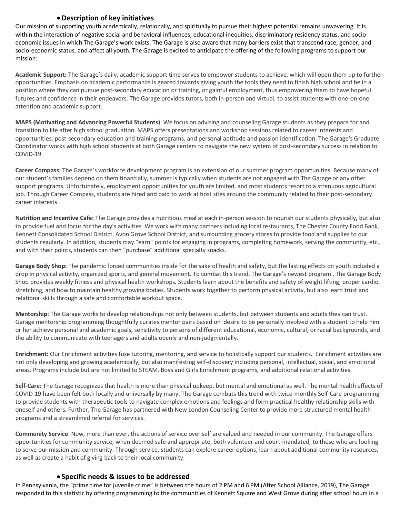#### •**Description of key initiatives**

Our mission of supporting youth academically, relationally, and spiritually to pursue their highest potential remains unwavering. It is within the interaction of negative social and behavioral influences, educational inequities, discriminatory residency status, and socioeconomic issues in which The Garage's work exists. The Garage is also aware that many barriers exist that transcend race, gender, and socio-economic status, and affect all youth. The Garage is excited to anticipate the offering of the following programs to support our mission:

**Academic Support:** The Garage's daily, academic support time serves to empower students to achieve, which will open them up to further opportunities. Emphasis on academic performance is geared towards giving youth the tools they need to finish high school and be in a position where they can pursue post-secondary education or training, or gainful employment, thus empowering them to have hopeful futures and confidence in their endeavors. The Garage provides tutors, both in-person and virtual, to assist students with one-on-one attention and academic support.

**MAPS (Motivating and Advancing Powerful Students)**: We focus on advising and counseling Garage students as they prepare for and transition to life after high school graduation. MAPS offers presentations and workshop sessions related to career interests and opportunities, post-secondary education and training programs, and personal aptitude and passion identification. The Garage's Graduate Coordinator works with high school students at both Garage centers to navigate the new system of post-secondary success in relation to COVID-19.

**Career Compass:** The Garage's workforce development program is an extension of our summer program opportunities. Because many of our student's families depend on them financially, summer is typically when students are not engaged with The Garage or any other support programs. Unfortunately, employment opportunities for youth are limited, and most students resort to a strenuous agricultural job. Through Career Compass, students are hired and paid to work at host sites around the community related to their post-secondary career interests.

**Nutrition and Incentive Cafe:** The Garage provides a nutritious meal at each in-person session to nourish our students physically, but also to provide fuel and focus for the day's activities. We work with many partners including local restaurants, The Chester County Food Bank, Kennett Consolidated School District, Avon Grove School District, and surrounding grocery stores to provide food and supplies to our students regularly. In addition, students may "earn" points for engaging in programs, completing homework, serving the community, etc., and with their points, students can then "purchase" additional specialty snacks.

**Garage Body Shop:** The pandemic forced communities inside for the sake of health and safety, but the lasting effects on youth included a drop in physical activity, organized sports, and general movement. To combat this trend, The Garage's newest program , The Garage Body Shop provides weekly fitness and physical health workshops. Students learn about the benefits and safety of weight lifting, proper cardio, stretching, and how to maintain healthy growing bodies. Students work together to perform physical activity, but also learn trust and relational skills through a safe and comfortable workout space.

**Mentorship:** The Garage works to develop relationships not only between students, but between students and adults they can trust. Garage mentorship programming thoughtfully curates mentor pairs based on desire to be personally involved with a student to help him or her achieve personal and academic goals, sensitivity to persons of different educational, economic, cultural, or racial backgrounds, and the ability to communicate with teenagers and adults openly and non-judgmentally.

**Enrichment:** Our Enrichment activities fuse tutoring, mentoring, and service to holistically support our students. Enrichment activities are not only developing and growing academically, but also manifesting self-discovery including personal, intellectual, social, and emotional areas. Programs include but are not limited to STEAM, Boys and Girls Enrichment programs, and additional relational activities.

**Self-Care:** The Garage recognizes that health is more than physical upkeep, but mental and emotional as well. The mental health effects of COVID-19 have been felt both locally and universally by many. The Garage combats this trend with twice-monthly Self-Care programming to provide students with therapeutic tools to navigate complex emotions and feelings and form practical healthy relationship skills with oneself and others. Further, The Garage has partnered with New London Counseling Center to provide more structured mental health programs and a streamlined referral for services.

**Community Service**: Now, more than ever, the actions of service over self are valued and needed in our community. The Garage offers opportunities for community service, when deemed safe and appropriate, both volunteer and court-mandated, to those who are looking to serve our mission and community. Through service, students can explore career options, learn about additional community resources, as well as create a habit of giving back to their local community.

#### • **Specific needs & issues to be addressed**

In Pennsylvania, the "prime time for juvenile crime" is between the hours of 2 PM and 6 PM (After School Alliance, 2019), The Garage responded to this statistic by offering programming to the communities of Kennett Square and West Grove during after school hours in a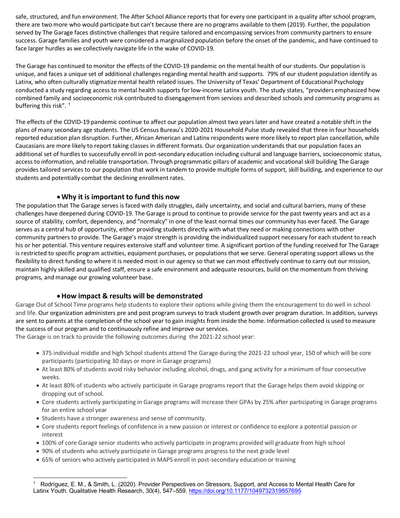safe, structured, and fun environment. The After School Alliance reports that for every one participant in a quality after school program, there are two more who would participate but can't because there are no programs available to them (2019). Further, the population served by The Garage faces distinctive challenges that require tailored and encompassing services from community partners to ensure success. Garage families and youth were considered a marginalized population before the onset of the pandemic, and have continued to face larger hurdles as we collectively navigate life in the wake of COVID-19.

The Garage has continued to monitor the effects of the COVID-19 pandemic on the mental health of our students. Our population is unique, and faces a unique set of additional challenges regarding mental health and supports. 79% of our student population identify as Latinx, who often culturally stigmatize mental health related issues. The University of Texas' Department of Educational Psychology conducted a study regarding access to mental health supports for low-income Latinx youth. The study states, "providers emphasized how combined family and socioeconomic risk contributed to disengagement from services and described schools and community programs as buffering this risk".<sup>1</sup>

The effects of the COVID-19 pandemic continue to affect our population almost two years later and have created a notable shift in the plans of many secondary age students. The US Census Bureau's 2020-2021 Household Pulse study revealed that three in four households reported education plan disruption. Further, African American and Latinx respondents were more likely to report plan cancellation, while Caucasians are more likely to report taking classes in different formats. Our organization understands that our population faces an additional set of hurdles to successfully enroll in post-secondary education including cultural and language barriers, socioeconomic status, access to information, and reliable transportation. Through programmatic pillars of academic and vocational skill building The Garage provides tailored services to our population that work in tandem to provide multiple forms of support, skill building, and experience to our students and potentially combat the declining enrollment rates.

#### •**Why it is important to fund this now**

The population that The Garage serves is faced with daily struggles, daily uncertainty, and social and cultural barriers, many of these challenges have deepened during COVID-19. The Garage is proud to continue to provide service for the past twenty years and act as a source of stability, comfort, dependency, and "normalcy" in one of the least normal times our community has ever faced. The Garage serves as a central hub of opportunity, either providing students directly with what they need or making connections with other community partners to provide. The Garage's major strength is providing the individualized support necessary for each student to reach his or her potential. This venture requires extensive staff and volunteer time. A significant portion of the funding received for The Garage is restricted to specific program activities, equipment purchases, or populations that we serve. General operating support allows us the flexibility to direct funding to where it is needed most in our agency so that we can most effectively continue to carry out our mission, maintain highly skilled and qualified staff, ensure a safe environment and adequate resources, build on the momentum from thriving programs, and manage our growing volunteer base.

#### •**How impact & results will be demonstrated**

Garage Out of School Time programs help students to explore their options while giving them the encouragement to do well in school and life. Our organization administers pre and post program surveys to track student growth over program duration. In addition, surveys are sent to parents at the completion of the school year to gain insights from inside the home. Information collected is used to measure the success of our program and to continuously refine and improve our services.

The Garage is on track to provide the following outcomes during the 2021-22 school year:

- 375 individual middle and high School students attend The Garage during the 2021-22 school year, 150 of which will be core participants (participating 30 days or more in Garage programs)
- At least 80% of students avoid risky behavior including alcohol, drugs, and gang activity for a minimum of four consecutive weeks.
- At least 80% of students who actively participate in Garage programs report that the Garage helps them avoid skipping or dropping out of school.
- Core students actively participating in Garage programs will increase their GPAs by 25% after participating in Garage programs for an entire school year
- Students have a stronger awareness and sense of community.

-

- Core students report feelings of confidence in a new passion or interest or confidence to explore a potential passion or interest
- 100% of core Garage senior students who actively participate in programs provided will graduate from high school
- 90% of students who actively participate in Garage programs progress to the next grade level
- 65% of seniors who actively participated in MAPS enroll in post-secondary education or training

<sup>1</sup> Rodríguez, E. M., & Smith, L. (2020). Provider Perspectives on Stressors, Support, and Access to Mental Health Care for Latinx Youth. Qualitative Health Research, 30(4), 547-559. https://doi.org/10.1177/1049732319857695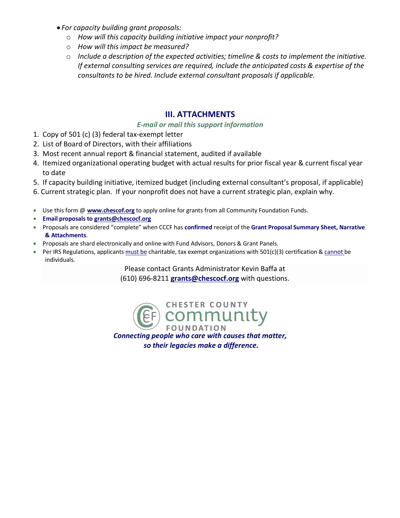- *For capacity building grant proposals:*
	- o *How will this capacity building initiative impact your nonprofit?*
	- o *How will this impact be measured?*
	- o *Include a description of the expected activities; timeline & costs to implement the initiative. If external consulting services are required, include the anticipated costs & expertise of the consultants to be hired. Include external consultant proposals if applicable.*

### **III. ATTACHMENTS**

#### *E-mail or mail this support information*

- 1. Copy of 501 (c) (3) federal tax-exempt letter
- 2. List of Board of Directors, with their affiliations
- 3. Most recent annual report & financial statement, audited if available
- 4. Itemized organizational operating budget with actual results for prior fiscal year & current fiscal year to date
- 5. If capacity building initiative, itemized budget (including external consultant's proposal, if applicable)
- 6. Current strategic plan. If your nonprofit does not have a current strategic plan, explain why.
- Use this form @ **www.chescof.org** to apply online for grants from all Community Foundation Funds.
- **Email proposals to grants@chescocf.org**
- Proposals are considered "complete" when CCCF has **confirmed** receipt of the **Grant Proposal Summary Sheet, Narrative & Attachments**.
- Proposals are shard electronically and online with Fund Advisors, Donors & Grant Panels.
- Per IRS Regulations, applicants must be charitable, tax exempt organizations with 501(c)(3) certification & cannot be individuals.

Please contact Grants Administrator Kevin Baffa at

(610) 696-8211 **grants@chescocf.org** with questions.

**CHESTER COUNTY** ommunity **FOUNDATION** 

*Connecting people who care with causes that matter, so their legacies make a difference.*